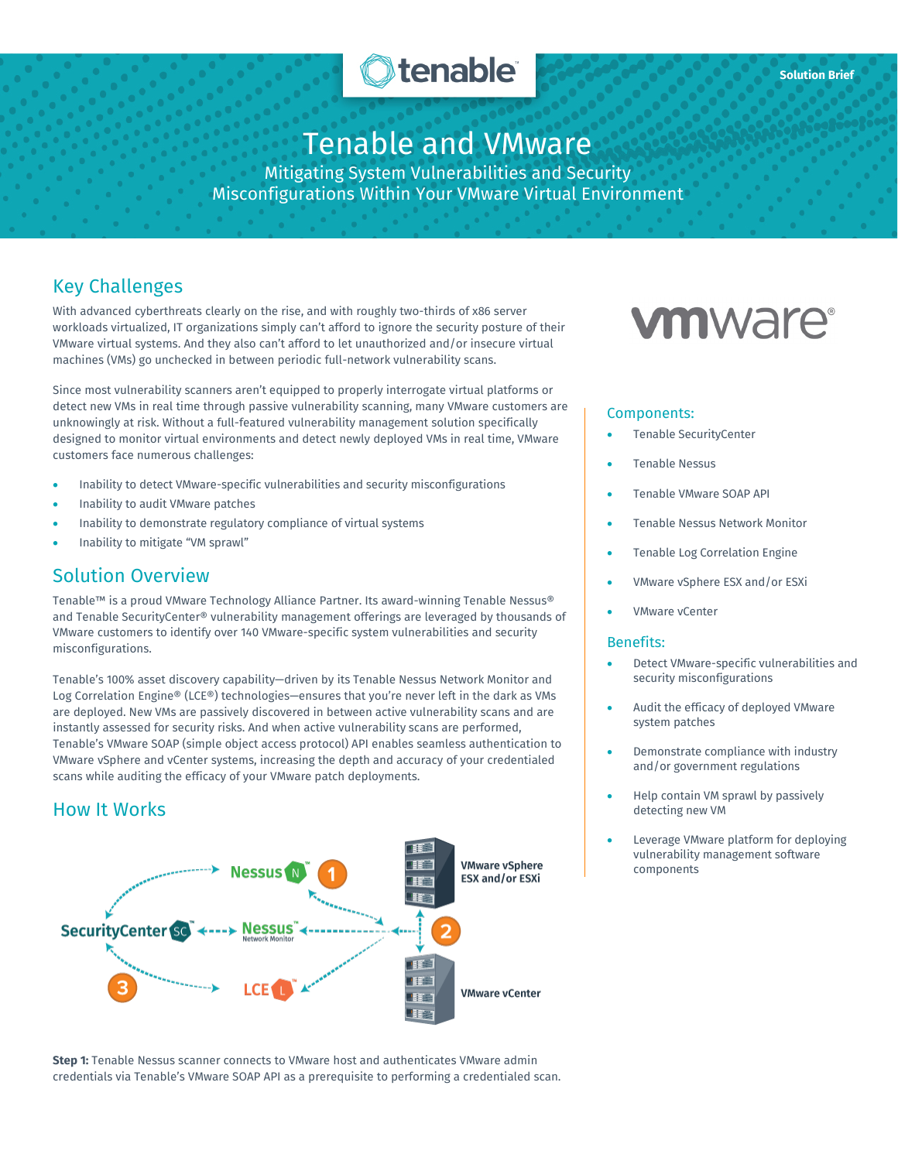

## Tenable and VMware

Mitigating System Vulnerabilities and Security Misconfigurations Within Your VMware Virtual Environment

## Key Challenges

With advanced cyberthreats clearly on the rise, and with roughly two-thirds of x86 server workloads virtualized, IT organizations simply can't afford to ignore the security posture of their VMware virtual systems. And they also can't afford to let unauthorized and/or insecure virtual machines (VMs) go unchecked in between periodic full-network vulnerability scans.

Since most vulnerability scanners aren't equipped to properly interrogate virtual platforms or detect new VMs in real time through passive vulnerability scanning, many VMware customers are unknowingly at risk. Without a full-featured vulnerability management solution specifically designed to monitor virtual environments and detect newly deployed VMs in real time, VMware customers face numerous challenges:

- Inability to detect VMware-specific vulnerabilities and security misconfigurations
- Inability to audit VMware patches
- Inability to demonstrate regulatory compliance of virtual systems
- Inability to mitigate "VM sprawl"

## Solution Overview

Tenable™ is a proud VMware Technology Alliance Partner. Its award-winning Tenable Nessus® and Tenable SecurityCenter® vulnerability management offerings are leveraged by thousands of VMware customers to identify over 140 VMware-specific system vulnerabilities and security misconfigurations.

Tenable's 100% asset discovery capability—driven by its Tenable Nessus Network Monitor and Log Correlation Engine® (LCE®) technologies—ensures that you're never left in the dark as VMs are deployed. New VMs are passively discovered in between active vulnerability scans and are instantly assessed for security risks. And when active vulnerability scans are performed, Tenable's VMware SOAP (simple object access protocol) API enables seamless authentication to VMware vSphere and vCenter systems, increasing the depth and accuracy of your credentialed scans while auditing the efficacy of your VMware patch deployments.

## How It Works



**Step 1:** Tenable Nessus scanner connects to VMware host and authenticates VMware admin credentials via Tenable's VMware SOAP API as a prerequisite to performing a credentialed scan.

# **vm**ware<sup>®</sup>

#### Components:

- Tenable SecurityCenter
- Tenable Nessus
- Tenable VMware SOAP API
- Tenable Nessus Network Monitor
- Tenable Log Correlation Engine
- VMware vSphere ESX and/or ESXi
- VMware vCenter

#### Benefits:

- Detect VMware-specific vulnerabilities and security misconfigurations
- Audit the efficacy of deployed VMware system patches
- Demonstrate compliance with industry and/or government regulations
- Help contain VM sprawl by passively detecting new VM
- Leverage VMware platform for deploying vulnerability management software components